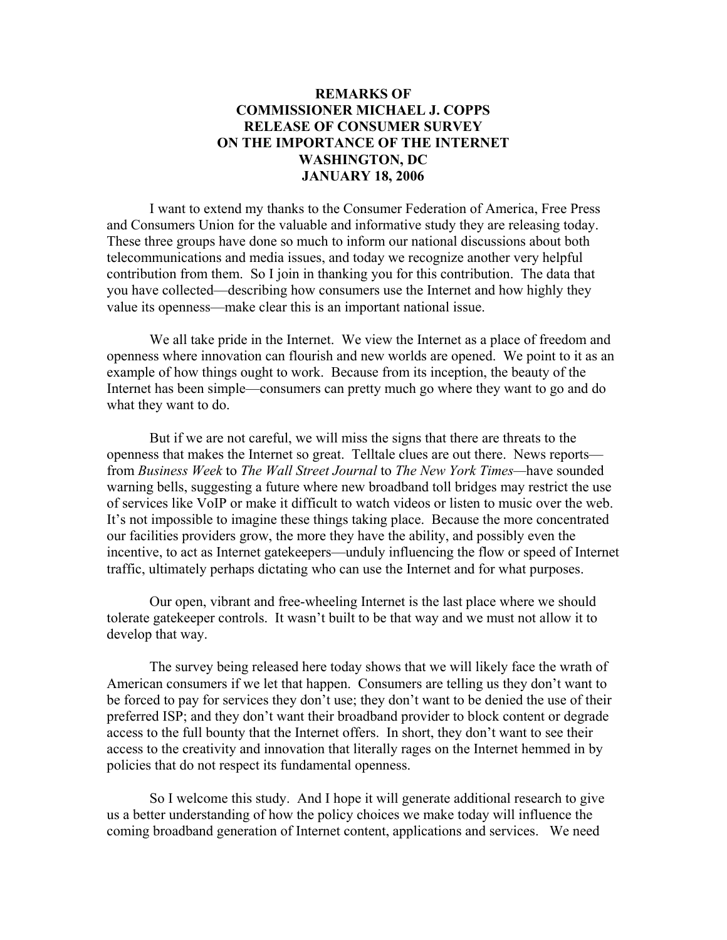## **REMARKS OF COMMISSIONER MICHAEL J. COPPS RELEASE OF CONSUMER SURVEY ON THE IMPORTANCE OF THE INTERNET WASHINGTON, DC JANUARY 18, 2006**

 I want to extend my thanks to the Consumer Federation of America, Free Press and Consumers Union for the valuable and informative study they are releasing today. These three groups have done so much to inform our national discussions about both telecommunications and media issues, and today we recognize another very helpful contribution from them. So I join in thanking you for this contribution. The data that you have collected—describing how consumers use the Internet and how highly they value its openness—make clear this is an important national issue.

 We all take pride in the Internet. We view the Internet as a place of freedom and openness where innovation can flourish and new worlds are opened. We point to it as an example of how things ought to work. Because from its inception, the beauty of the Internet has been simple—consumers can pretty much go where they want to go and do what they want to do.

 But if we are not careful, we will miss the signs that there are threats to the openness that makes the Internet so great. Telltale clues are out there. News reports from *Business Week* to *The Wall Street Journal* to *The New York Times—*have sounded warning bells, suggesting a future where new broadband toll bridges may restrict the use of services like VoIP or make it difficult to watch videos or listen to music over the web. It's not impossible to imagine these things taking place. Because the more concentrated our facilities providers grow, the more they have the ability, and possibly even the incentive, to act as Internet gatekeepers—unduly influencing the flow or speed of Internet traffic, ultimately perhaps dictating who can use the Internet and for what purposes.

Our open, vibrant and free-wheeling Internet is the last place where we should tolerate gatekeeper controls. It wasn't built to be that way and we must not allow it to develop that way.

 The survey being released here today shows that we will likely face the wrath of American consumers if we let that happen. Consumers are telling us they don't want to be forced to pay for services they don't use; they don't want to be denied the use of their preferred ISP; and they don't want their broadband provider to block content or degrade access to the full bounty that the Internet offers. In short, they don't want to see their access to the creativity and innovation that literally rages on the Internet hemmed in by policies that do not respect its fundamental openness.

 So I welcome this study. And I hope it will generate additional research to give us a better understanding of how the policy choices we make today will influence the coming broadband generation of Internet content, applications and services. We need